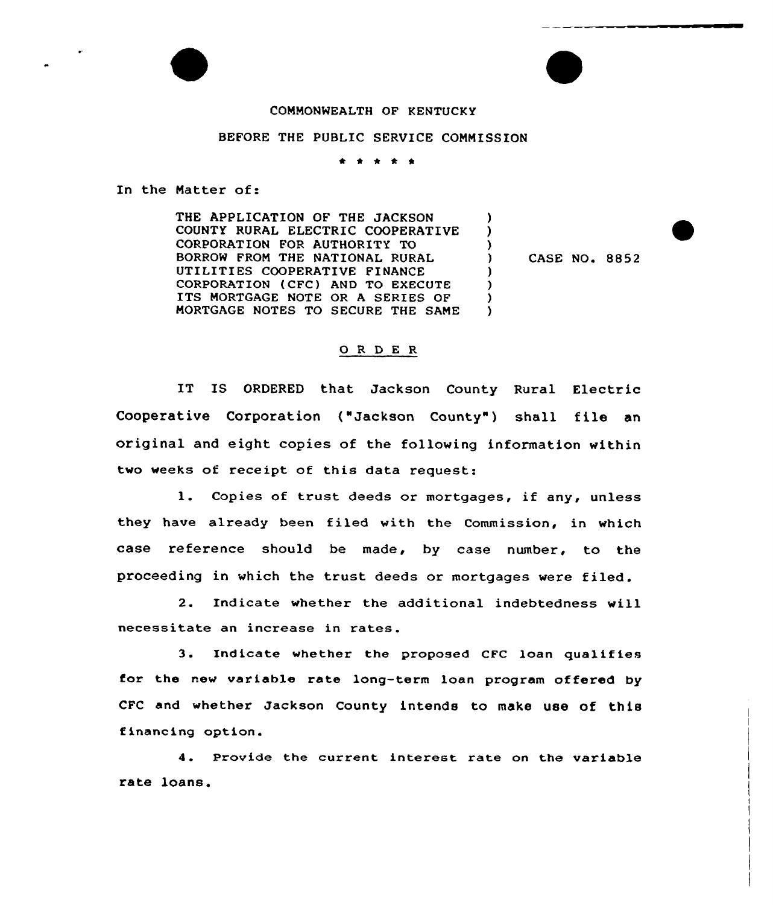## COMMONWEALTH OF KENTUCKY

## BEFORE THE PUBLIC SERVICE COMMISSION

\* \* \* \* \*

In the Matter of:

THE APPLICATION OF THE JACKSON COUNTY RURAL ELECTRIC COOPERATIVE CORPORATION FOR AUTHORITY TO BORROW FROM THE NATIONAL RURAL UTILITIES COOPERATIVE FINANCE CORPORATION (CFC) AND TO EXECUTE ITS MORTGAGE NOTE OR <sup>A</sup> SERIES OF MORTGAGE NOTES TO SECURE THE SAME

) CASE NO. 8852

) ) )

) ) )  $\lambda$ 

## 0 R <sup>D</sup> E R

IT IS ORDERED that Jackson County Rural Electric Cooperative Corporation ("Jackson County") shall file an original and eight copies of the following information within two weeks of receipt of this data request:

1. Copies of trust deeds or mortgages, if any, unless they have already been filed with the Commission, in which case reference should be made, by case number, to the proceeding in which the trust deeds or mortgages were filed.

2. Indicate whether the additional indebtedness will necessitate an increase in rates.

3. Indicate whether the proposed CFC loan qualifies for the new variable rate long-term loan program offered by CFC and whether Jackson County intends to make use of this financing option.

4. Provide the current interest rate on the variable rate loans.